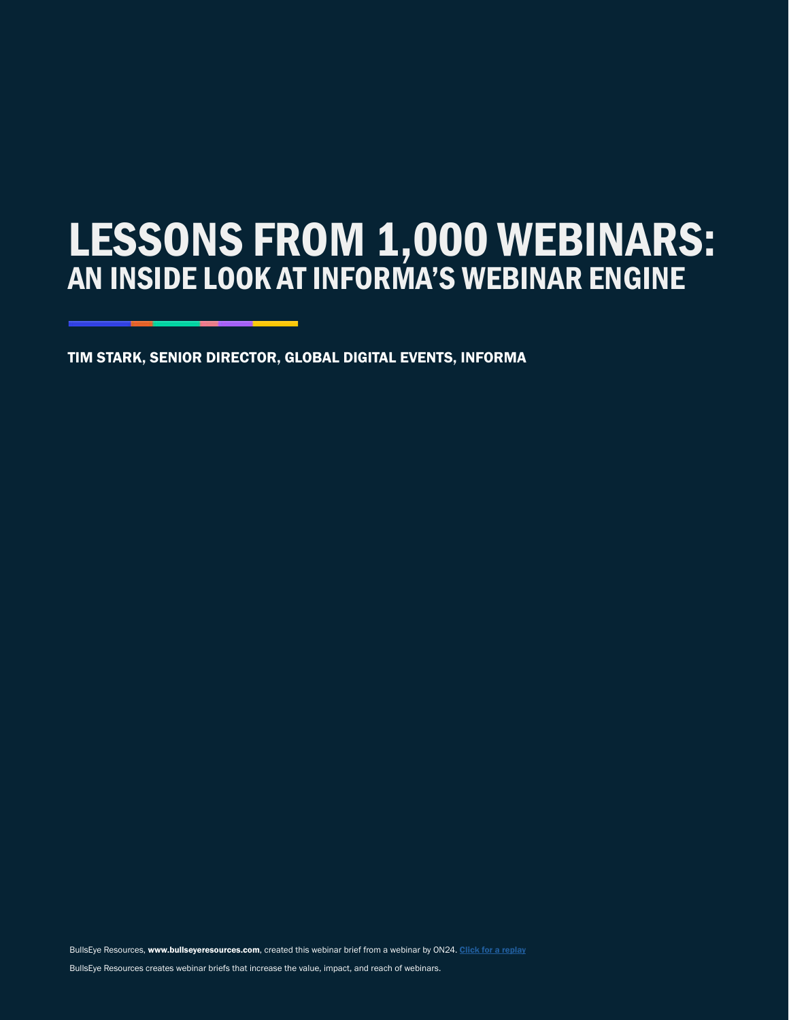# LESSONS FROM 1,000 WEBINARS: AN INSIDE LOOK AT INFORMA'S WEBINAR ENGINE

TIM STARK, SENIOR DIRECTOR, GLOBAL DIGITAL EVENTS, INFORMA TIM STARK, SENIOR DIRECTOR, GLOBAL DIGITAL EVENTS, INFORMA

BullsEye Resources, www.bullseyeresources.com, created this webinar brief from a webinar by ON24. [Click for a replay](https://www.on24.com/resources/assets/spotlight-lessons-from-1000-webinars/) BullsEye Resources creates webinar briefs that increase the value, impact, and reach of webinars.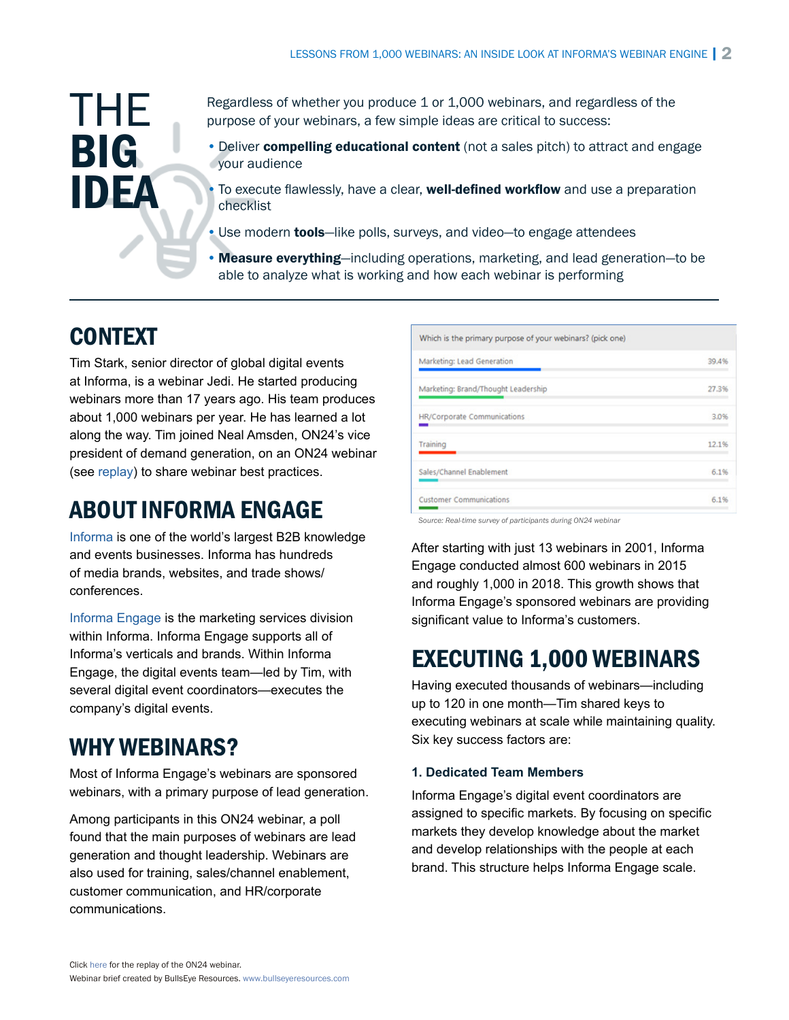# THE **BIG** IDEA

Regardless of whether you produce 1 or 1,000 webinars, and regardless of the purpose of your webinars, a few simple ideas are critical to success:

• Deliver compelling educational content (not a sales pitch) to attract and engage your audience

To execute flawlessly, have a clear, **well-defined workflow** and use a preparation checklist

• Use modern **tools**—like polls, surveys, and video—to engage attendees

• Measure everything—including operations, marketing, and lead generation—to be able to analyze what is working and how each webinar is performing

## CONTEXT

Tim Stark, senior director of global digital events at Informa, is a webinar Jedi. He started producing webinars more than 17 years ago. His team produces about 1,000 webinars per year. He has learned a lot along the way. Tim joined Neal Amsden, ON24's vice president of demand generation, on an ON24 webinar (see [replay](https://www.on24.com/resources/assets/spotlight-lessons-from-1000-webinars/)) to share webinar best practices.

### ABOUT INFORMA ENGAGE

[Informa](https://informa.com/) is one of the world's largest B2B knowledge and events businesses. Informa has hundreds of media brands, websites, and trade shows/ conferences.

[Informa Engage](https://engage.informa.com/) is the marketing services division within Informa. Informa Engage supports all of Informa's verticals and brands. Within Informa Engage, the digital events team—led by Tim, with several digital event coordinators—executes the company's digital events.

## WHY WEBINARS?

Most of Informa Engage's webinars are sponsored webinars, with a primary purpose of lead generation.

Among participants in this ON24 webinar, a poll found that the main purposes of webinars are lead generation and thought leadership. Webinars are also used for training, sales/channel enablement, customer communication, and HR/corporate communications.

| Which is the primary purpose of your webinars? (pick one) |       |
|-----------------------------------------------------------|-------|
| Marketing: Lead Generation                                | 39.4% |
| Marketing: Brand/Thought Leadership                       | 27.3% |
| HR/Corporate Communications                               | 3.0%  |
| Training                                                  | 12.1% |
| Sales/Channel Enablement                                  | 6.1%  |
| <b>Customer Communications</b>                            | 6.1%  |

*Source: Real-time survey of participants during ON24 webinar*

After starting with just 13 webinars in 2001, Informa Engage conducted almost 600 webinars in 2015 and roughly 1,000 in 2018. This growth shows that Informa Engage's sponsored webinars are providing significant value to Informa's customers.

## EXECUTING 1,000 WEBINARS

Having executed thousands of webinars—including up to 120 in one month—Tim shared keys to executing webinars at scale while maintaining quality. Six key success factors are:

#### **1. Dedicated Team Members**

Informa Engage's digital event coordinators are assigned to specific markets. By focusing on specific markets they develop knowledge about the market and develop relationships with the people at each brand. This structure helps Informa Engage scale.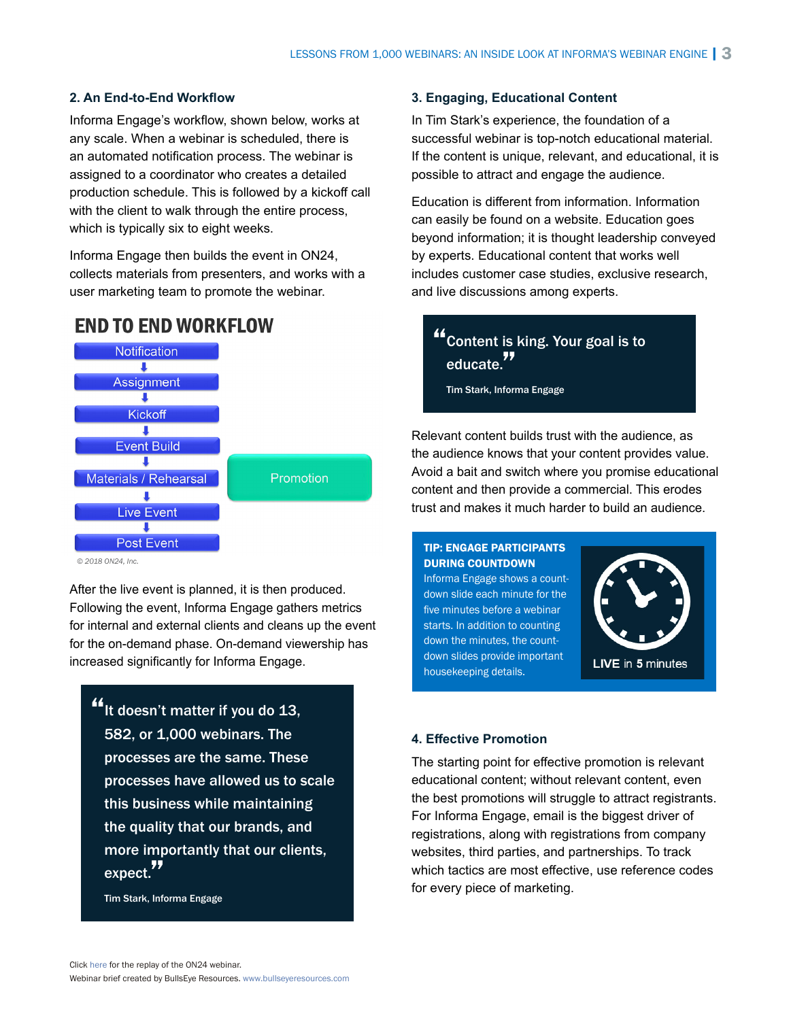#### **2. An End-to-End Workflow**

Informa Engage's workflow, shown below, works at any scale. When a webinar is scheduled, there is an automated notification process. The webinar is assigned to a coordinator who creates a detailed production schedule. This is followed by a kickoff call with the client to walk through the entire process, which is typically six to eight weeks.

Informa Engage then builds the event in ON24, collects materials from presenters, and works with a user marketing team to promote the webinar.

### **END TO END WORKFLOW**



*© 2018 ON24, Inc.* 

After the live event is planned, it is then produced. Following the event, Informa Engage gathers metrics for internal and external clients and cleans up the event for the on-demand phase. On-demand viewership has increased significantly for Informa Engage.

"It doesn't matter if you do 13, 582, or 1,000 webinars. The processes are the same. These processes have allowed us to scale this business while maintaining the quality that our brands, and more importantly that our clients, expect."

Tim Stark, Informa Engage

#### **3. Engaging, Educational Content**

In Tim Stark's experience, the foundation of a successful webinar is top-notch educational material. If the content is unique, relevant, and educational, it is possible to attract and engage the audience.

Education is different from information. Information can easily be found on a website. Education goes beyond information; it is thought leadership conveyed by experts. Educational content that works well includes customer case studies, exclusive research, and live discussions among experts.

### "Content is king. Your goal is to educate."

Tim Stark, Informa Engage

Relevant content builds trust with the audience, as the audience knows that your content provides value. Avoid a bait and switch where you promise educational content and then provide a commercial. This erodes trust and makes it much harder to build an audience.

#### TIP: ENGAGE PARTICIPANTS DURING COUNTDOWN

Informa Engage shows a countdown slide each minute for the five minutes before a webinar starts. In addition to counting down the minutes, the countdown slides provide important housekeeping details.



#### **4. Effective Promotion**

The starting point for effective promotion is relevant educational content; without relevant content, even the best promotions will struggle to attract registrants. For Informa Engage, email is the biggest driver of registrations, along with registrations from company websites, third parties, and partnerships. To track which tactics are most effective, use reference codes for every piece of marketing.